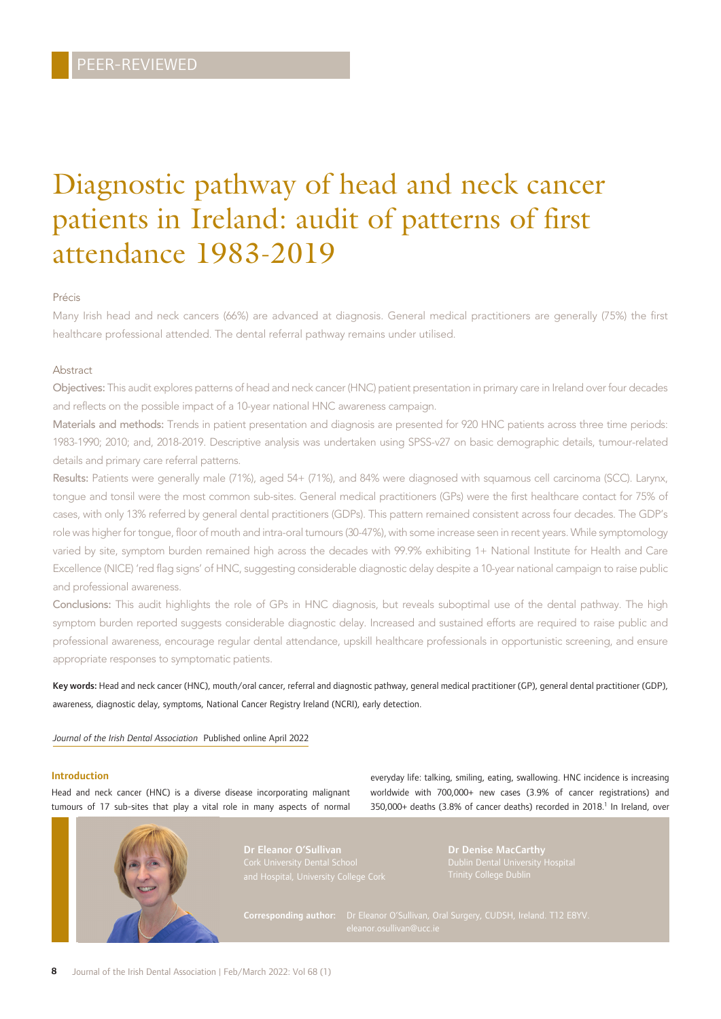# Diagnostic pathway of head and neck cancer patients in Ireland: audit of patterns of first attendance 1983-2019

## Précis

Many Irish head and neck cancers (66%) are advanced at diagnosis. General medical practitioners are generally (75%) the first healthcare professional attended. The dental referral pathway remains under utilised.

## Abstract

Objectives: This audit explores patterns of head and neck cancer (HNC) patient presentation in primary care in Ireland over four decades and reflects on the possible impact of a 10-year national HNC awareness campaign.

Materials and methods: Trends in patient presentation and diagnosis are presented for 920 HNC patients across three time periods: 1983-1990; 2010; and, 2018-2019. Descriptive analysis was undertaken using SPSS-v27 on basic demographic details, tumour-related details and primary care referral patterns.

Results: Patients were generally male (71%), aged 54+ (71%), and 84% were diagnosed with squamous cell carcinoma (SCC). Larynx, tongue and tonsil were the most common sub-sites. General medical practitioners (GPs) were the first healthcare contact for 75% of cases, with only 13% referred by general dental practitioners (GDPs). This pattern remained consistent across four decades. The GDP's role was higher for tongue, floor of mouth and intra-oral tumours (30-47%), with some increase seen in recent years. While symptomology varied by site, symptom burden remained high across the decades with 99.9% exhibiting 1+ National Institute for Health and Care Excellence (NICE) 'red flag signs' of HNC, suggesting considerable diagnostic delay despite a 10-year national campaign to raise public and professional awareness.

Conclusions: This audit highlights the role of GPs in HNC diagnosis, but reveals suboptimal use of the dental pathway. The high symptom burden reported suggests considerable diagnostic delay. Increased and sustained efforts are required to raise public and professional awareness, encourage regular dental attendance, upskill healthcare professionals in opportunistic screening, and ensure appropriate responses to symptomatic patients.

Key words: Head and neck cancer (HNC), mouth/oral cancer, referral and diagnostic pathway, general medical practitioner (GP), general dental practitioner (GDP), awareness, diagnostic delay, symptoms, National Cancer Registry Ireland (NCRI), early detection.

### *Journal of the Irish Dental Association* Published online April 2022

## Introduction

Head and neck cancer (HNC) is a diverse disease incorporating malignant tumours of 17 sub-sites that play a vital role in many aspects of normal everyday life: talking, smiling, eating, swallowing. HNC incidence is increasing worldwide with 700,000+ new cases (3.9% of cancer registrations) and 350,000+ deaths (3.8% of cancer deaths) recorded in 2018.<sup>1</sup> In Ireland, over

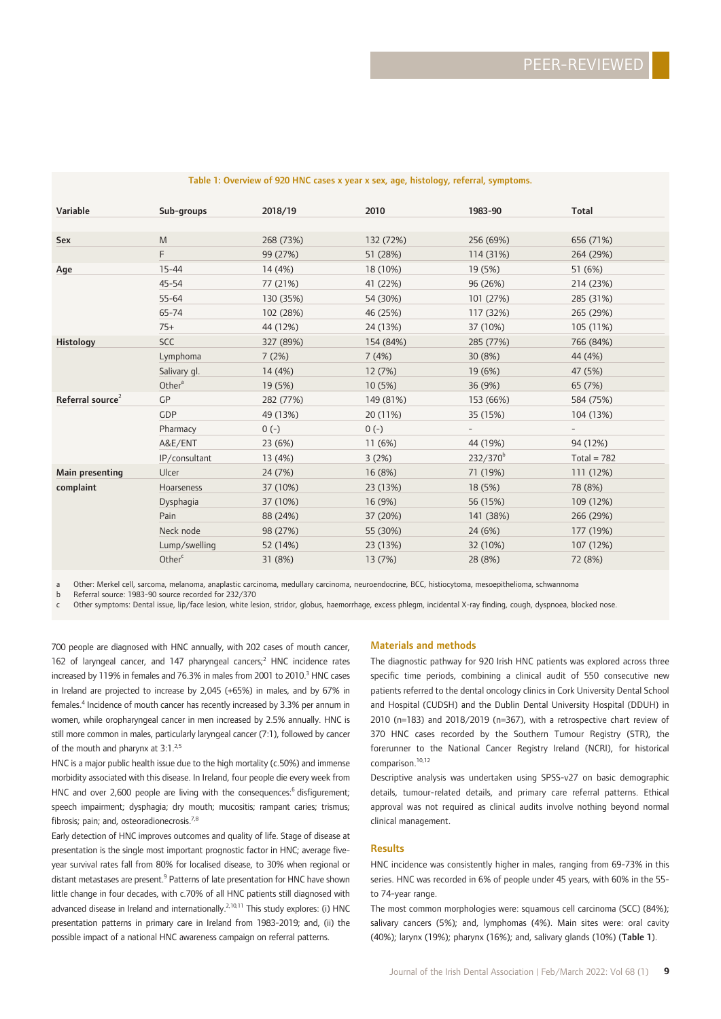| Variable                     | Sub-groups         | 2018/19   | 2010      | 1983-90       | <b>Total</b>  |  |
|------------------------------|--------------------|-----------|-----------|---------------|---------------|--|
|                              |                    |           |           |               |               |  |
| Sex                          | M                  | 268 (73%) | 132 (72%) | 256 (69%)     | 656 (71%)     |  |
|                              | F.                 | 99 (27%)  | 51 (28%)  | 114 (31%)     | 264 (29%)     |  |
| Age                          | $15 - 44$          | 14 (4%)   | 18 (10%)  | 19 (5%)       | 51 (6%)       |  |
|                              | $45 - 54$          | 77 (21%)  | 41 (22%)  | 96 (26%)      | 214 (23%)     |  |
|                              | $55 - 64$          | 130 (35%) | 54 (30%)  | 101 (27%)     | 285 (31%)     |  |
|                              | 65-74              | 102 (28%) | 46 (25%)  | 117 (32%)     | 265 (29%)     |  |
|                              | $75+$              | 44 (12%)  | 24 (13%)  | 37 (10%)      | 105 (11%)     |  |
| Histology                    | <b>SCC</b>         | 327 (89%) | 154 (84%) | 285 (77%)     | 766 (84%)     |  |
|                              | Lymphoma           | 7(2%)     | 7(4%)     | 30 (8%)       | 44 (4%)       |  |
|                              | Salivary gl.       | 14 (4%)   | 12 (7%)   | 19 (6%)       | 47 (5%)       |  |
|                              | Other <sup>a</sup> | 19 (5%)   | 10 (5%)   | 36 (9%)       | 65 (7%)       |  |
| Referral source <sup>2</sup> | <b>GP</b>          | 282 (77%) | 149 (81%) | 153 (66%)     | 584 (75%)     |  |
|                              | <b>GDP</b>         | 49 (13%)  | 20 (11%)  | 35 (15%)      | 104 (13%)     |  |
|                              | Pharmacy           | $0(-)$    | $0(-)$    |               |               |  |
|                              | A&E/ENT            | 23 (6%)   | 11 (6%)   | 44 (19%)      | 94 (12%)      |  |
|                              | IP/consultant      | 13 (4%)   | 3(2%)     | $232/370^{b}$ | Total = $782$ |  |
| Main presenting              | Ulcer              | 24 (7%)   | 16 (8%)   | 71 (19%)      | 111 (12%)     |  |
| complaint                    | Hoarseness         | 37 (10%)  | 23 (13%)  | 18 (5%)       | 78 (8%)       |  |
|                              | Dysphagia          | 37 (10%)  | 16 (9%)   | 56 (15%)      | 109 (12%)     |  |
|                              | Pain               | 88 (24%)  | 37 (20%)  | 141 (38%)     | 266 (29%)     |  |
|                              | Neck node          | 98 (27%)  | 55 (30%)  | 24 (6%)       | 177 (19%)     |  |
|                              | Lump/swelling      | 52 (14%)  | 23 (13%)  | 32 (10%)      | 107 (12%)     |  |
|                              | Other <sup>c</sup> | 31 (8%)   | 13 (7%)   | 28 (8%)       | 72 (8%)       |  |

#### Table 1: Overview of 920 HNC cases x year x sex, age, histology, referral, symptoms.

a Other: Merkel cell, sarcoma, melanoma, anaplastic carcinoma, medullary carcinoma, neuroendocrine, BCC, histiocytoma, mesoepithelioma, schwannoma<br>b Referral source: 1983-90 source recorded for 232/370

Referral source: 1983-90 source recorded for 232/370

c Other symptoms: Dental issue, lip/face lesion, white lesion, stridor, globus, haemorrhage, excess phlegm, incidental X-ray finding, cough, dyspnoea, blocked nose.

700 people are diagnosed with HNC annually, with 202 cases of mouth cancer, 162 of laryngeal cancer, and 147 pharyngeal cancers;<sup>2</sup> HNC incidence rates increased by 119% in females and 76.3% in males from 2001 to 2010.<sup>3</sup> HNC cases in Ireland are projected to increase by 2,045 (+65%) in males, and by 67% in females.<sup>4</sup> Incidence of mouth cancer has recently increased by 3.3% per annum in women, while oropharyngeal cancer in men increased by 2.5% annually. HNC is still more common in males, particularly laryngeal cancer (7:1), followed by cancer of the mouth and pharynx at 3:1.<sup>2,5</sup>

HNC is a major public health issue due to the high mortality (c.50%) and immense morbidity associated with this disease. In Ireland, four people die every week from HNC and over 2,600 people are living with the consequences:<sup>6</sup> disfigurement; speech impairment; dysphagia; dry mouth; mucositis; rampant caries; trismus; fibrosis; pain; and, osteoradionecrosis. $7,8$ 

Early detection of HNC improves outcomes and quality of life. Stage of disease at presentation is the single most important prognostic factor in HNC; average fiveyear survival rates fall from 80% for localised disease, to 30% when regional or distant metastases are present.<sup>9</sup> Patterns of late presentation for HNC have shown little change in four decades, with c.70% of all HNC patients still diagnosed with advanced disease in Ireland and internationally.<sup>2,10,11</sup> This study explores: (i) HNC presentation patterns in primary care in Ireland from 1983-2019; and, (ii) the possible impact of a national HNC awareness campaign on referral patterns.

#### Materials and methods

The diagnostic pathway for 920 Irish HNC patients was explored across three specific time periods, combining a clinical audit of 550 consecutive new patients referred to the dental oncology clinics in Cork University Dental School and Hospital (CUDSH) and the Dublin Dental University Hospital (DDUH) in 2010 (n=183) and 2018/2019 (n=367), with a retrospective chart review of 370 HNC cases recorded by the Southern Tumour Registry (STR), the forerunner to the National Cancer Registry Ireland (NCRI), for historical comparison.<sup>10,12</sup>

Descriptive analysis was undertaken using SPSS-v27 on basic demographic details, tumour-related details, and primary care referral patterns. Ethical approval was not required as clinical audits involve nothing beyond normal clinical management.

#### Results

HNC incidence was consistently higher in males, ranging from 69-73% in this series. HNC was recorded in 6% of people under 45 years, with 60% in the 55 to 74-year range.

The most common morphologies were: squamous cell carcinoma (SCC) (84%); salivary cancers (5%); and, lymphomas (4%). Main sites were: oral cavity (40%); larynx (19%); pharynx (16%); and, salivary glands (10%) (Table 1).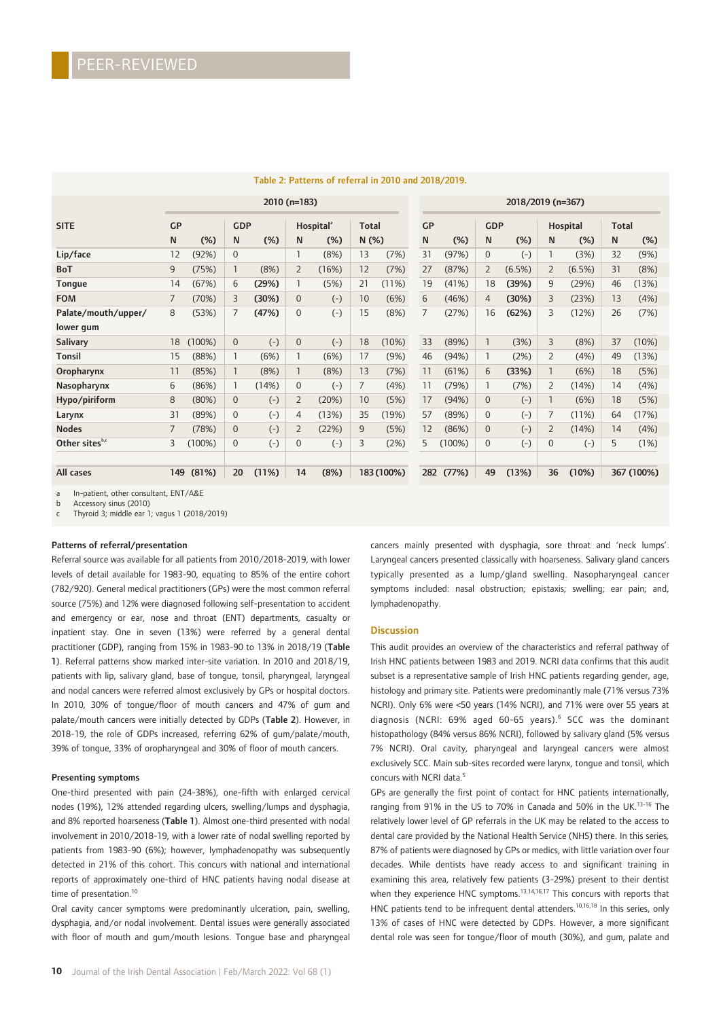|                            |     | 2010 (n=183) |              |       |                |                                              |      |            | 2018/2019 (n=367) |        |                |            |                |          |    |              |  |
|----------------------------|-----|--------------|--------------|-------|----------------|----------------------------------------------|------|------------|-------------------|--------|----------------|------------|----------------|----------|----|--------------|--|
| <b>SITE</b>                | GP  |              | <b>GDP</b>   |       |                | <b>Total</b><br><b>Hospital</b> <sup>®</sup> |      |            | GP                |        |                | <b>GDP</b> |                | Hospital |    | <b>Total</b> |  |
|                            | N   | (%)          | N            | (%)   | N              | (%)                                          | N(%) |            | N                 | (%)    | N              | (%)        | N              | $(\%)$   | N  | (%)          |  |
| Lip/face                   | 12  | (92%)        | $\mathbf 0$  |       |                | (8%)                                         | 13   | (7%)       | 31                | (97%)  | 0              | $(-)$      |                | (3%)     | 32 | (9%)         |  |
| <b>BoT</b>                 | 9   | (75%)        | 1            | (8%)  | $\overline{2}$ | (16%)                                        | 12   | (7%)       | 27                | (87%)  | $\overline{2}$ | (6.5%)     | 2              | (6.5%)   | 31 | (8%)         |  |
| <b>Tongue</b>              | 14  | (67%)        | 6            | (29%) |                | (5%)                                         | 21   | (11%)      | 19                | (41%)  | 18             | (39%)      | 9              | (29%)    | 46 | (13%)        |  |
| <b>FOM</b>                 | 7   | (70%)        | 3            | (30%) | $\mathbf{0}$   | $(-)$                                        | 10   | (6%)       | 6                 | (46%)  | 4              | (30%)      | 3              | (23%)    | 13 | (4%)         |  |
| Palate/mouth/upper/        | 8   | (53%)        | 7            | (47%) | $\mathbf 0$    | $(-)$                                        | 15   | (8%)       | 7                 | (27%)  | 16             | (62%)      | 3              | (12%)    | 26 | (7%)         |  |
| lower gum                  |     |              |              |       |                |                                              |      |            |                   |        |                |            |                |          |    |              |  |
| Salivary                   | 18  | (100%)       | $\mathbf{0}$ | $(-)$ | $\mathbf{0}$   | $(-)$                                        | 18   | (10%)      | 33                | (89%)  |                | (3%)       | 3              | (8%)     | 37 | (10%)        |  |
| <b>Tonsil</b>              | 15  | (88%)        | 1            | (6%)  |                | (6%)                                         | 17   | (9%)       | 46                | (94%)  |                | (2%)       | $\overline{2}$ | (4%)     | 49 | (13%)        |  |
| Oropharynx                 | 11  | (85%)        | 1            | (8%)  |                | (8%)                                         | 13   | (7%)       | 11                | (61%)  | 6              | (33%)      |                | (6%)     | 18 | (5%)         |  |
| Nasopharynx                | 6   | (86%)        | 1            | (14%) | $\mathbf 0$    | $(-)$                                        | 7    | (4%)       | 11                | (79%)  |                | (7%)       | $\overline{2}$ | (14%)    | 14 | (4%)         |  |
| Hypo/piriform              | 8   | (80%)        | $\mathbf{0}$ | $(-)$ | $\overline{2}$ | (20%)                                        | 10   | (5%)       | 17                | (94%)  | $\Omega$       | $(-)$      |                | (6%)     | 18 | (5%)         |  |
| Larynx                     | 31  | (89%)        | $\mathbf 0$  | $(-)$ | 4              | (13%)                                        | 35   | (19%)      | 57                | (89%)  | $\Omega$       | $(-)$      | 7              | (11%)    | 64 | (17%)        |  |
| <b>Nodes</b>               | 7   | (78%)        | $\mathbf{0}$ | $(-)$ | $\overline{2}$ | (22%)                                        | 9    | (5%)       | 12                | (86%)  | 0              | $(-)$      | $\overline{2}$ | (14%)    | 14 | (4%)         |  |
| Other sites <sup>b,c</sup> | 3   | (100%)       | $\mathbf 0$  | $(-)$ | 0              | $(-)$                                        | 3    | (2%)       | 5                 | (100%) | $\Omega$       | $(-)$      | $\mathbf 0$    | $(-)$    | 5  | (1%)         |  |
|                            |     |              |              |       |                |                                              |      |            |                   |        |                |            |                |          |    |              |  |
| All cases                  | 149 | (81%)        | 20           | (11%) | 14             | (8%)                                         |      | 183 (100%) | 282               | (77%)  | 49             | (13%)      | 36             | (10%)    |    | 367 (100%)   |  |

## Table 2: Patterns of referral in 2010 and 2018/2019.

a In-patient, other consultant, ENT/A&E

b Accessory sinus (2010)

c Thyroid 3; middle ear 1; vagus 1 (2018/2019)

#### Patterns of referral/presentation

Referral source was available for all patients from 2010/2018-2019, with lower levels of detail available for 1983-90, equating to 85% of the entire cohort (782/920). General medical practitioners (GPs) were the most common referral source (75%) and 12% were diagnosed following self-presentation to accident and emergency or ear, nose and throat (ENT) departments, casualty or inpatient stay. One in seven (13%) were referred by a general dental practitioner (GDP), ranging from 15% in 1983-90 to 13% in 2018/19 (Table 1). Referral patterns show marked inter-site variation. In 2010 and 2018/19, patients with lip, salivary gland, base of tongue, tonsil, pharyngeal, laryngeal and nodal cancers were referred almost exclusively by GPs or hospital doctors. In 2010, 30% of tongue/floor of mouth cancers and 47% of gum and palate/mouth cancers were initially detected by GDPs (Table 2). However, in 2018-19, the role of GDPs increased, referring 62% of gum/palate/mouth, 39% of tongue, 33% of oropharyngeal and 30% of floor of mouth cancers.

#### Presenting symptoms

One-third presented with pain (24-38%), one-fifth with enlarged cervical nodes (19%), 12% attended regarding ulcers, swelling/lumps and dysphagia, and 8% reported hoarseness (Table 1). Almost one-third presented with nodal involvement in 2010/2018-19, with a lower rate of nodal swelling reported by patients from 1983-90 (6%); however, lymphadenopathy was subsequently detected in 21% of this cohort. This concurs with national and international reports of approximately one-third of HNC patients having nodal disease at time of presentation.<sup>10</sup>

Oral cavity cancer symptoms were predominantly ulceration, pain, swelling, dysphagia, and/or nodal involvement. Dental issues were generally associated with floor of mouth and gum/mouth lesions. Tongue base and pharyngeal

**10** Journal of the Irish Dental Association | Feb/March 2022: Vol 68 (1)

cancers mainly presented with dysphagia, sore throat and 'neck lumps'. Laryngeal cancers presented classically with hoarseness. Salivary gland cancers typically presented as a lump/gland swelling. Nasopharyngeal cancer symptoms included: nasal obstruction; epistaxis; swelling; ear pain; and, lymphadenopathy.

#### **Discussion**

This audit provides an overview of the characteristics and referral pathway of Irish HNC patients between 1983 and 2019. NCRI data confirms that this audit subset is a representative sample of Irish HNC patients regarding gender, age, histology and primary site. Patients were predominantly male (71% versus 73% NCRI). Only 6% were <50 years (14% NCRI), and 71% were over 55 years at diagnosis (NCRI: 69% aged 60-65 years).<sup>6</sup> SCC was the dominant histopathology (84% versus 86% NCRI), followed by salivary gland (5% versus 7% NCRI). Oral cavity, pharyngeal and laryngeal cancers were almost exclusively SCC. Main sub-sites recorded were larynx, tongue and tonsil, which concurs with NCRI data<sup>5</sup>

GPs are generally the first point of contact for HNC patients internationally, ranging from 91% in the US to 70% in Canada and 50% in the UK.<sup>13-16</sup> The relatively lower level of GP referrals in the UK may be related to the access to dental care provided by the National Health Service (NHS) there. In this series*,* 87% of patients were diagnosed by GPs or medics, with little variation over four decades. While dentists have ready access to and significant training in examining this area, relatively few patients (3-29%) present to their dentist when they experience HNC symptoms.<sup>13,14,16,17</sup> This concurs with reports that HNC patients tend to be infrequent dental attenders.<sup>10,16,18</sup> In this series, only 13% of cases of HNC were detected by GDPs. However, a more significant dental role was seen for tongue/floor of mouth (30%), and gum, palate and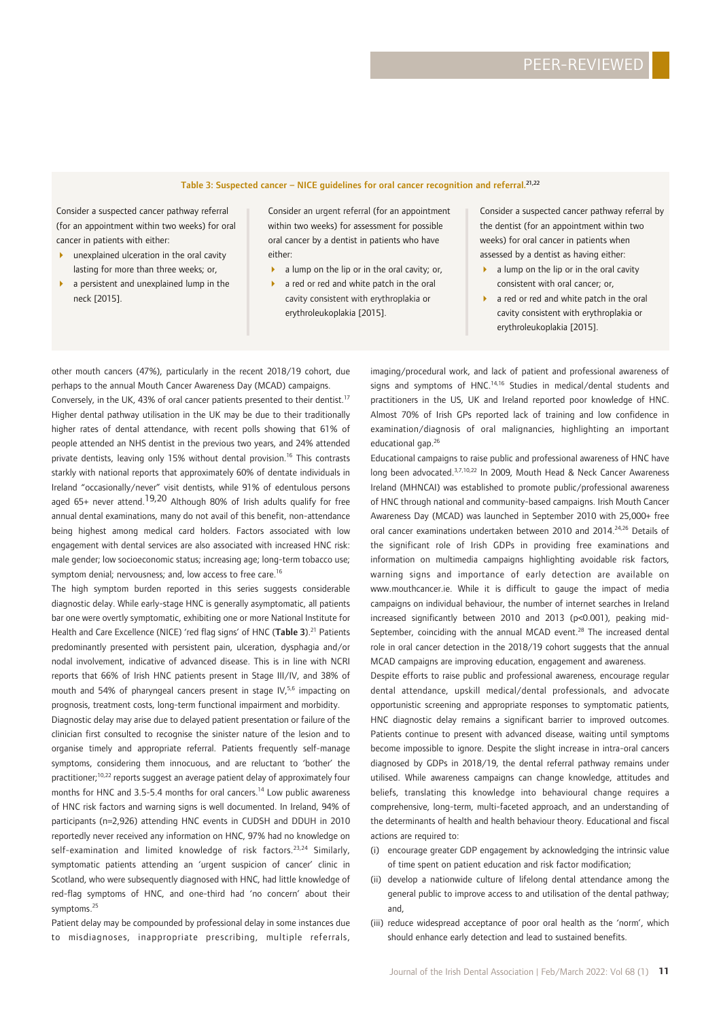# Table 3: Suspected cancer – NICE guidelines for oral cancer recognition and referral.21,22

Consider a suspected cancer pathway referral (for an appointment within two weeks) for oral cancer in patients with either:

- unexplained ulceration in the oral cavity lasting for more than three weeks; or,
- 4 a persistent and unexplained lump in the neck [2015].

Consider an urgent referral (for an appointment within two weeks) for assessment for possible oral cancer by a dentist in patients who have either:

- a lump on the lip or in the oral cavity; or,
- a red or red and white patch in the oral cavity consistent with erythroplakia or erythroleukoplakia [2015].

Consider a suspected cancer pathway referral by the dentist (for an appointment within two weeks) for oral cancer in patients when assessed by a dentist as having either:

- a lump on the lip or in the oral cavity consistent with oral cancer; or,
- a red or red and white patch in the oral cavity consistent with erythroplakia or erythroleukoplakia [2015].

other mouth cancers (47%), particularly in the recent 2018/19 cohort, due perhaps to the annual Mouth Cancer Awareness Day (MCAD) campaigns. Conversely, in the UK, 43% of oral cancer patients presented to their dentist.<sup>17</sup> Higher dental pathway utilisation in the UK may be due to their traditionally higher rates of dental attendance, with recent polls showing that 61% of people attended an NHS dentist in the previous two years, and 24% attended private dentists, leaving only 15% without dental provision.<sup>16</sup> This contrasts starkly with national reports that approximately 60% of dentate individuals in Ireland "occasionally/never" visit dentists, while 91% of edentulous persons aged  $65+$  never attend.<sup>19,20</sup> Although 80% of Irish adults qualify for free annual dental examinations, many do not avail of this benefit, non-attendance being highest among medical card holders. Factors associated with low engagement with dental services are also associated with increased HNC risk: male gender; low socioeconomic status; increasing age; long-term tobacco use; symptom denial; nervousness; and, low access to free care.<sup>16</sup>

The high symptom burden reported in this series suggests considerable diagnostic delay. While early-stage HNC is generally asymptomatic, all patients bar one were overtly symptomatic, exhibiting one or more National Institute for Health and Care Excellence (NICE) 'red flag signs' of HNC (Table 3).<sup>21</sup> Patients predominantly presented with persistent pain, ulceration, dysphagia and/or nodal involvement, indicative of advanced disease. This is in line with NCRI reports that 66% of Irish HNC patients present in Stage III/IV, and 38% of mouth and 54% of pharyngeal cancers present in stage IV,<sup>5,6</sup> impacting on prognosis, treatment costs, long-term functional impairment and morbidity.

Diagnostic delay may arise due to delayed patient presentation or failure of the clinician first consulted to recognise the sinister nature of the lesion and to organise timely and appropriate referral. Patients frequently self-manage symptoms, considering them innocuous, and are reluctant to 'bother' the practitioner;<sup>10,22</sup> reports suggest an average patient delay of approximately four months for HNC and 3.5-5.4 months for oral cancers.<sup>14</sup> Low public awareness of HNC risk factors and warning signs is well documented. In Ireland, 94% of participants (n=2,926) attending HNC events in CUDSH and DDUH in 2010 reportedly never received any information on HNC, 97% had no knowledge on self-examination and limited knowledge of risk factors.<sup>23,24</sup> Similarly, symptomatic patients attending an 'urgent suspicion of cancer' clinic in Scotland, who were subsequently diagnosed with HNC, had little knowledge of red-flag symptoms of HNC, and one-third had 'no concern' about their symptoms.25

Patient delay may be compounded by professional delay in some instances due to misdiagnoses, inappropriate prescribing, multiple referrals,

imaging/procedural work, and lack of patient and professional awareness of signs and symptoms of HNC.<sup>14,16</sup> Studies in medical/dental students and practitioners in the US, UK and Ireland reported poor knowledge of HNC. Almost 70% of Irish GPs reported lack of training and low confidence in examination/diagnosis of oral malignancies, highlighting an important educational gap.<sup>26</sup>

Educational campaigns to raise public and professional awareness of HNC have long been advocated.3,7,10,22 In 2009, Mouth Head & Neck Cancer Awareness Ireland (MHNCAI) was established to promote public/professional awareness of HNC through national and community-based campaigns. Irish Mouth Cancer Awareness Day (MCAD) was launched in September 2010 with 25,000+ free oral cancer examinations undertaken between 2010 and 2014.<sup>24,26</sup> Details of the significant role of Irish GDPs in providing free examinations and information on multimedia campaigns highlighting avoidable risk factors, warning signs and importance of early detection are available on www.mouthcancer.ie. While it is difficult to gauge the impact of media campaigns on individual behaviour, the number of internet searches in Ireland increased significantly between 2010 and 2013 (p<0.001), peaking mid-September, coinciding with the annual MCAD event.<sup>28</sup> The increased dental role in oral cancer detection in the 2018/19 cohort suggests that the annual MCAD campaigns are improving education, engagement and awareness.

Despite efforts to raise public and professional awareness, encourage regular dental attendance, upskill medical/dental professionals, and advocate opportunistic screening and appropriate responses to symptomatic patients, HNC diagnostic delay remains a significant barrier to improved outcomes. Patients continue to present with advanced disease, waiting until symptoms become impossible to ignore. Despite the slight increase in intra-oral cancers diagnosed by GDPs in 2018/19, the dental referral pathway remains under utilised. While awareness campaigns can change knowledge, attitudes and beliefs, translating this knowledge into behavioural change requires a comprehensive, long-term, multi-faceted approach, and an understanding of the determinants of health and health behaviour theory. Educational and fiscal actions are required to:

- (i) encourage greater GDP engagement by acknowledging the intrinsic value of time spent on patient education and risk factor modification;
- (ii) develop a nationwide culture of lifelong dental attendance among the general public to improve access to and utilisation of the dental pathway; and,
- (iii) reduce widespread acceptance of poor oral health as the 'norm', which should enhance early detection and lead to sustained benefits.